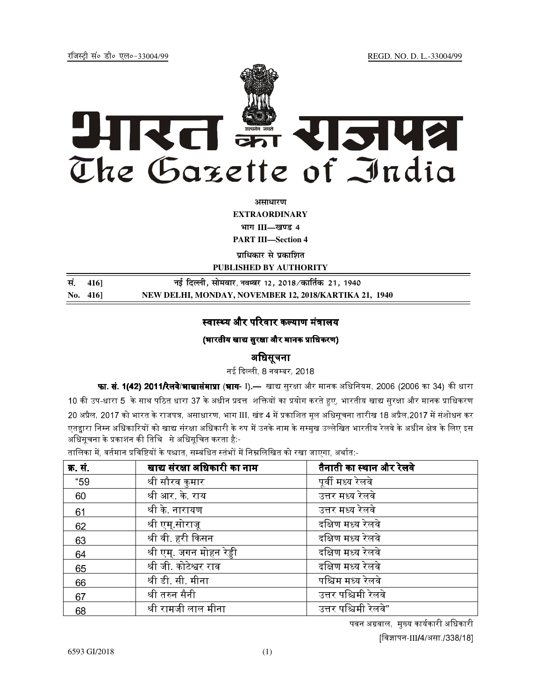jftLVªh laö Mhö ,yö&33004@99 REGD. NO. D. L.-33004/99



**vlk/kj.k**

**EXTRAORDINARY**

भाग III—खण्ड 4

**PART III—Section 4** 

**पाधिकार से पका**शित

**PUBLISHED BY AUTHORITY**

| सं. 416] | नई दिल्ली, सोमवार, नवम्बर 12, 2018 ⁄ कार्तिक 21, 1940 |
|----------|-------------------------------------------------------|
| No. 416  | NEW DELHI, MONDAY, NOVEMBER 12, 2018/KARTIKA 21, 1940 |

## स्वास्थ्य और परिवार कल्याण मंत्रालय

## (भारतीय खाद्य सरक्षा और मानक प्राधिकरण)

# अिधसूचना

नई दिल्ली 8 नवम्बर 2018

**फा. सं. 1(42) 2011/रेलवे/भाखासंमाप्रा (भाग**- I).— खाद्य सुरक्षा और मानक अधिनियम, 2006 (2006 का 34) की धारा 10 की उप-धारा 5 के साथ पठित धारा 37 के अधीन प्रदत्त शक्तियों का प्रयोग करते हुए, भारतीय खाद्य सुरक्षा और मानक प्राधिकरण 20 अप्रैल, 2017 को भारत के राजपत्र, असाधारण, भाग III, खंड 4 में प्रकाशित मूल अधिसूचना तारीख 18 अप्रैल,2017 में संशोधन कर एतद्दारा निम्न अधिकारियों को खाद्य संरक्षा अधिकारी के रुप में उनके नाम के सम्मख उल्लेखित भारतीय रेलवे के अधीन क्षेत्र के लिए इस अधिसूचना के प्रकाशन की तिथि से अधिसूचित करता है:-

तालिका में, वर्तमान प्रविष्टियों के पश्चात, सम्बंधित स्तंभों में निम्नलिखित को रखा जाएगा, अर्थात:-

| क्र. <b>सं</b> . | खाद्य संरक्षा अधिकारी का नाम | तैनाती का स्थान और रेलवे |
|------------------|------------------------------|--------------------------|
| "59              | श्री सौरव कुमार              | पूर्वी मध्य रेलवे        |
| 60               | श्री आर के राय               | उत्तर मध्य रेलवे         |
| 61               | श्री के नारायण               | उत्तर मध्य रेलवे         |
| 62               | श्री एम् सोराजू              | दक्षिण मध्य रेलवे        |
| 63               | श्री वी. हरी किसन            | दक्षिण मध्य रेलवे        |
| 64               | श्री एम्जगन मोहन रेड्डी      | दक्षिण मध्य रेलवे        |
| 65               | श्री जी कोटेश्वर राव         | दक्षिण मध्य रेलवे        |
| 66               | श्री डी सी मीना              | पश्चिम मध्य रेलवे        |
| 67               | श्री तरुन सैनी               | उत्तर पश्चिमी रेलवे      |
| 68               | श्री रामजी लाल मीना          | उत्तर पश्चिमी रेलवे"     |

पवन अग्रवाल, मुख्य कार्यकारी अधिकारी [विज्ञापन-III**/**4/असा./338/18]